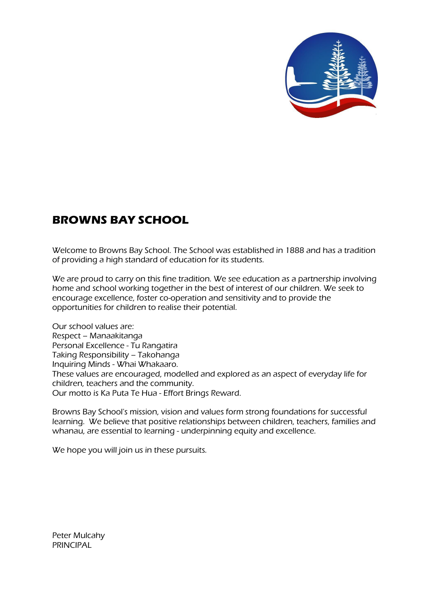

# **BROWNS BAY SCHOOL**

Welcome to Browns Bay School. The School was established in 1888 and has a tradition of providing a high standard of education for its students.

We are proud to carry on this fine tradition. We see education as a partnership involving home and school working together in the best of interest of our children. We seek to encourage excellence, foster co-operation and sensitivity and to provide the opportunities for children to realise their potential.

Our school values are: Respect – Manaakitanga Personal Excellence - Tu Rangatira Taking Responsibility – Takohanga Inquiring Minds - Whai Whakaaro. These values are encouraged, modelled and explored as an aspect of everyday life for children, teachers and the community. Our motto is Ka Puta Te Hua - Effort Brings Reward.

Browns Bay School's mission, vision and values form strong foundations for successful learning. We believe that positive relationships between children, teachers, families and whanau, are essential to learning - underpinning equity and excellence.

We hope you will join us in these pursuits.

Peter Mulcahy **PRINCIPAL**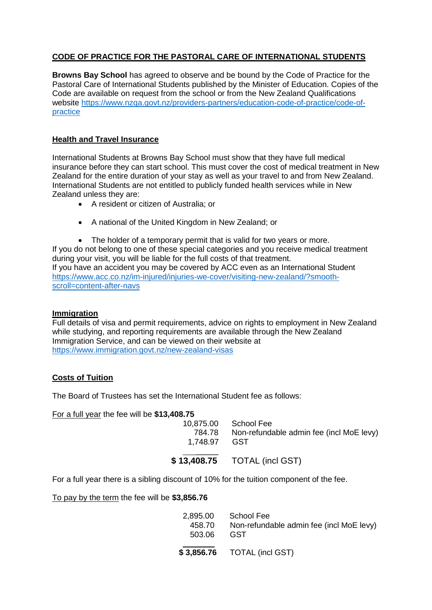# **CODE OF PRACTICE FOR THE PASTORAL CARE OF INTERNATIONAL STUDENTS**

**Browns Bay School** has agreed to observe and be bound by the Code of Practice for the Pastoral Care of International Students published by the Minister of Education. Copies of the Code are available on request from the school or from the New Zealand Qualifications website https://www.nzqa.govt.nz/providers-partners/education-code-of-practice/code-ofpractice

## **Health and Travel Insurance**

International Students at Browns Bay School must show that they have full medical insurance before they can start school. This must cover the cost of medical treatment in New Zealand for the entire duration of your stay as well as your travel to and from New Zealand. International Students are not entitled to publicly funded health services while in New Zealand unless they are:

- A resident or citizen of Australia; or
- A national of the United Kingdom in New Zealand; or

• The holder of a temporary permit that is valid for two vears or more. If you do not belong to one of these special categories and you receive medical treatment during your visit, you will be liable for the full costs of that treatment. If you have an accident you may be covered by ACC even as an International Student [https://www.acc.co.nz/im-injured/injuries-we-cover/visiting-new-zealand/?smooth](https://www.acc.co.nz/im-injured/injuries-we-cover/visiting-new-zealand/?smooth-scroll=content-after-navs)[scroll=content-after-navs](https://www.acc.co.nz/im-injured/injuries-we-cover/visiting-new-zealand/?smooth-scroll=content-after-navs)

## **Immigration**

Full details of visa and permit requirements, advice on rights to employment in New Zealand while studying, and reporting requirements are available through the New Zealand Immigration Service, and can be viewed on their website at <https://www.immigration.govt.nz/new-zealand-visas>

# **Costs of Tuition**

The Board of Trustees has set the International Student fee as follows:

#### For a full year the fee will be **\$13,408.75**

| 1.748.97 GST | 10,875.00 School Fee<br>784.78 Non-refundable admin fee (incl MoE levy) |
|--------------|-------------------------------------------------------------------------|
|              | \$13,408.75 TOTAL (incl GST)                                            |

For a full year there is a sibling discount of 10% for the tuition component of the fee.

## To pay by the term the fee will be **\$3,856.76**

| 458.70<br>503.06 | 2,895.00 School Fee<br>Non-refundable admin fee (incl MoE levy)<br>GST |
|------------------|------------------------------------------------------------------------|
|                  | \$3,856.76 TOTAL (incl GST)                                            |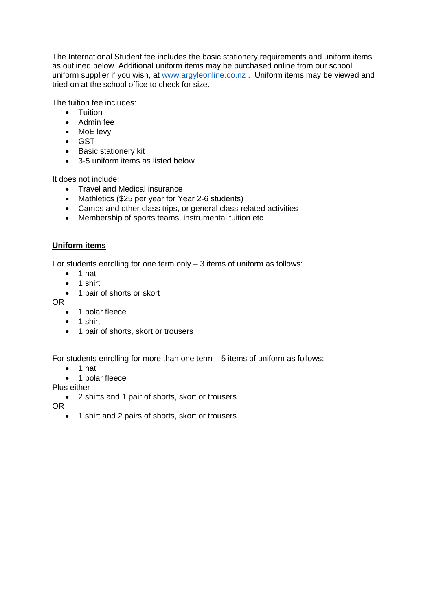The International Student fee includes the basic stationery requirements and uniform items as outlined below. Additional uniform items may be purchased online from our school uniform supplier if you wish, at [www.argyleonline.co.nz](http://www.argyleonline.co.nz/) . Uniform items may be viewed and tried on at the school office to check for size.

The tuition fee includes:

- **•** Tuition
- Admin fee
- MoE levy
- GST
- Basic stationery kit
- 3-5 uniform items as listed below

It does not include:

- Travel and Medical insurance
- Mathletics (\$25 per year for Year 2-6 students)
- Camps and other class trips, or general class-related activities
- Membership of sports teams, instrumental tuition etc

## **Uniform items**

For students enrolling for one term only  $-3$  items of uniform as follows:

- $\bullet$  1 hat
- $\bullet$  1 shirt
- 1 pair of shorts or skort
- OR
	- 1 polar fleece
	- $\bullet$  1 shirt
	- 1 pair of shorts, skort or trousers

For students enrolling for more than one term – 5 items of uniform as follows:

- $\bullet$  1 hat
- 1 polar fleece

Plus either

2 shirts and 1 pair of shorts, skort or trousers

OR

• 1 shirt and 2 pairs of shorts, skort or trousers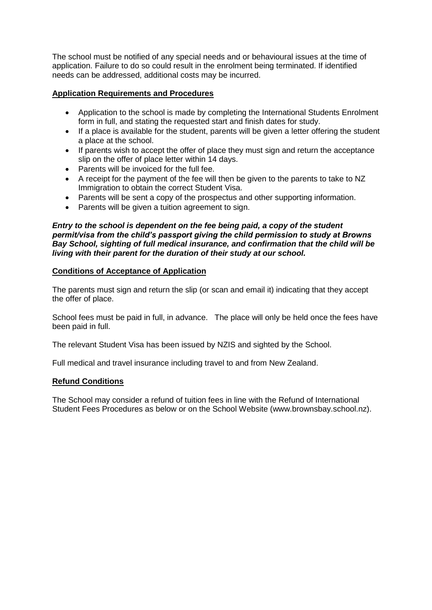The school must be notified of any special needs and or behavioural issues at the time of application. Failure to do so could result in the enrolment being terminated. If identified needs can be addressed, additional costs may be incurred.

## **Application Requirements and Procedures**

- Application to the school is made by completing the International Students Enrolment form in full, and stating the requested start and finish dates for study.
- If a place is available for the student, parents will be given a letter offering the student a place at the school.
- If parents wish to accept the offer of place they must sign and return the acceptance slip on the offer of place letter within 14 days.
- Parents will be invoiced for the full fee.
- A receipt for the payment of the fee will then be given to the parents to take to NZ Immigration to obtain the correct Student Visa.
- Parents will be sent a copy of the prospectus and other supporting information.
- Parents will be given a tuition agreement to sign.

*Entry to the school is dependent on the fee being paid, a copy of the student permit/visa from the child's passport giving the child permission to study at Browns Bay School, sighting of full medical insurance, and confirmation that the child will be living with their parent for the duration of their study at our school.* 

## **Conditions of Acceptance of Application**

The parents must sign and return the slip (or scan and email it) indicating that they accept the offer of place.

School fees must be paid in full, in advance. The place will only be held once the fees have been paid in full.

The relevant Student Visa has been issued by NZIS and sighted by the School.

Full medical and travel insurance including travel to and from New Zealand.

## **Refund Conditions**

The School may consider a refund of tuition fees in line with the Refund of International Student Fees Procedures as below or on the School Website (www.brownsbay.school.nz).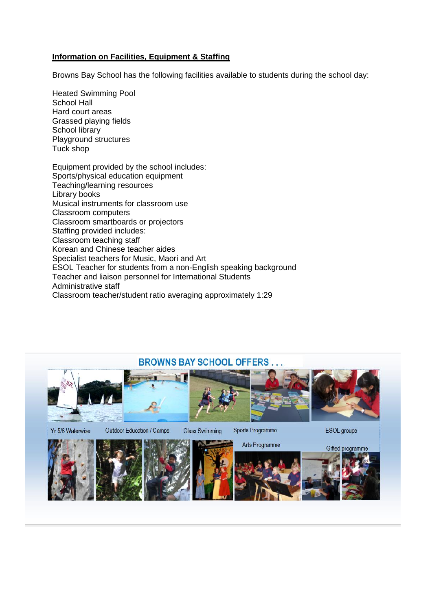## **Information on Facilities, Equipment & Staffing**

Browns Bay School has the following facilities available to students during the school day:

Heated Swimming Pool School Hall Hard court areas Grassed playing fields School library Playground structures Tuck shop

Equipment provided by the school includes: Sports/physical education equipment Teaching/learning resources Library books Musical instruments for classroom use Classroom computers Classroom smartboards or projectors Staffing provided includes: Classroom teaching staff Korean and Chinese teacher aides Specialist teachers for Music, Maori and Art ESOL Teacher for students from a non-English speaking background Teacher and liaison personnel for International Students Administrative staff Classroom teacher/student ratio averaging approximately 1:29

# **BROWNS BAY SCHOOL OFFERS...**











Yr 5/6 Waterwise

Outdoor Education / Camps

**Class Swimming** 

Sports Programme

**ESOL** groups









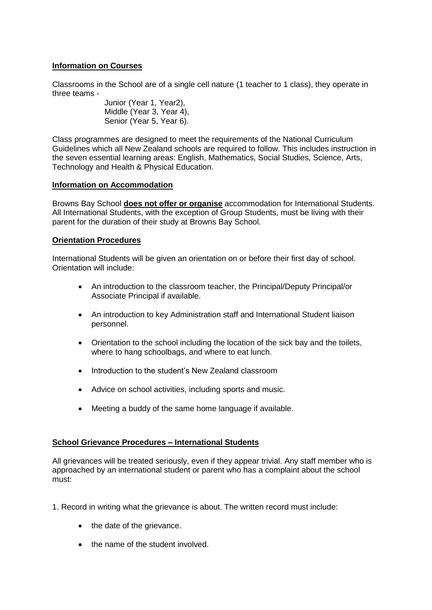## **Information on Courses**

Classrooms in the School are of a single cell nature (1 teacher to 1 class), they operate in three teams -

Junior (Year 1, Year2), Middle (Year 3, Year 4), Senior (Year 5, Year 6).

Class programmes are designed to meet the requirements of the National Curriculum Guidelines which all New Zealand schools are required to follow. This includes instruction in the seven essential learning areas: English, Mathematics, Social Studies, Science, Arts, Technology and Health & Physical Education.

### **Information on Accommodation**

Browns Bay School **does not offer or organise** accommodation for International Students. All International Students, with the exception of Group Students, must be living with their parent for the duration of their study at Browns Bay School.

## **Orientation Procedures**

International Students will be given an orientation on or before their first day of school. Orientation will include:

- An introduction to the classroom teacher, the Principal/Deputy Principal/or Associate Principal if available.
- An introduction to key Administration staff and International Student liaison personnel.
- Orientation to the school including the location of the sick bay and the toilets, where to hang schoolbags, and where to eat lunch.
- Introduction to the student's New Zealand classroom
- Advice on school activities, including sports and music.
- Meeting a buddy of the same home language if available.

## **School Grievance Procedures – International Students**

All grievances will be treated seriously, even if they appear trivial. Any staff member who is approached by an international student or parent who has a complaint about the school must:

- 1. Record in writing what the grievance is about. The written record must include:
	- the date of the grievance.
	- the name of the student involved.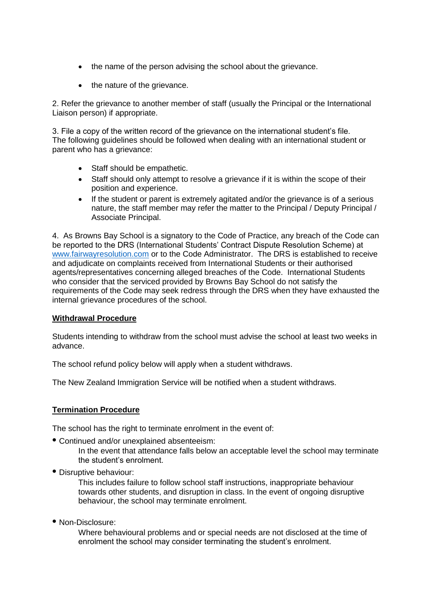- the name of the person advising the school about the grievance.
- the nature of the grievance.

2. Refer the grievance to another member of staff (usually the Principal or the International Liaison person) if appropriate.

3. File a copy of the written record of the grievance on the international student's file. The following guidelines should be followed when dealing with an international student or parent who has a grievance:

- Staff should be empathetic.
- Staff should only attempt to resolve a grievance if it is within the scope of their position and experience.
- If the student or parent is extremely agitated and/or the grievance is of a serious nature, the staff member may refer the matter to the Principal / Deputy Principal / Associate Principal.

4. As Browns Bay School is a signatory to the Code of Practice, any breach of the Code can be reported to the DRS (International Students' Contract Dispute Resolution Scheme) at www.fairwayresolution.com or to the Code Administrator. The DRS is established to receive and adjudicate on complaints received from International Students or their authorised agents/representatives concerning alleged breaches of the Code. International Students who consider that the serviced provided by Browns Bay School do not satisfy the requirements of the Code may seek redress through the DRS when they have exhausted the internal grievance procedures of the school.

## **Withdrawal Procedure**

Students intending to withdraw from the school must advise the school at least two weeks in advance.

The school refund policy below will apply when a student withdraws.

The New Zealand Immigration Service will be notified when a student withdraws.

## **Termination Procedure**

The school has the right to terminate enrolment in the event of:

**•** Continued and/or unexplained absenteeism:

In the event that attendance falls below an acceptable level the school may terminate the student's enrolment.

**•** Disruptive behaviour:

This includes failure to follow school staff instructions, inappropriate behaviour towards other students, and disruption in class. In the event of ongoing disruptive behaviour, the school may terminate enrolment.

**•** Non-Disclosure:

Where behavioural problems and or special needs are not disclosed at the time of enrolment the school may consider terminating the student's enrolment.